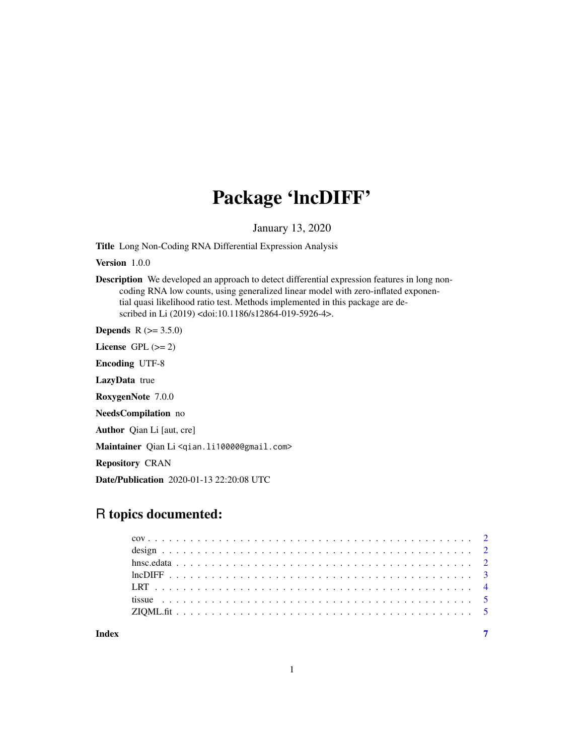# Package 'lncDIFF'

January 13, 2020

Title Long Non-Coding RNA Differential Expression Analysis

Version 1.0.0

Description We developed an approach to detect differential expression features in long noncoding RNA low counts, using generalized linear model with zero-inflated exponential quasi likelihood ratio test. Methods implemented in this package are described in Li (2019) <doi:10.1186/s12864-019-5926-4>.

**Depends**  $R (= 3.5.0)$ 

License GPL  $(>= 2)$ 

Encoding UTF-8

LazyData true

RoxygenNote 7.0.0

NeedsCompilation no

Author Qian Li [aut, cre]

Maintainer Qian Li <qian.li10000@gmail.com>

Repository CRAN

Date/Publication 2020-01-13 22:20:08 UTC

# R topics documented: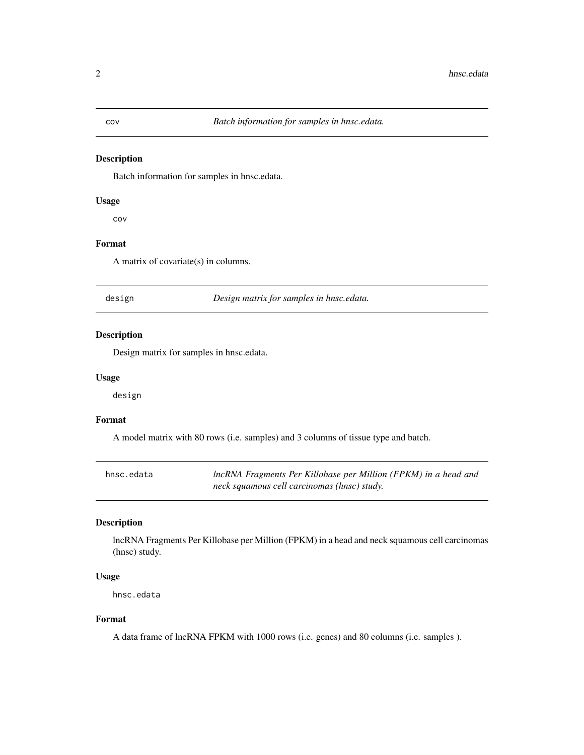#### Description

Batch information for samples in hnsc.edata.

#### Usage

cov

#### Format

A matrix of covariate(s) in columns.

design *Design matrix for samples in hnsc.edata.*

# Description

Design matrix for samples in hnsc.edata.

# Usage

design

#### Format

A model matrix with 80 rows (i.e. samples) and 3 columns of tissue type and batch.

| hnsc.edata | IncRNA Fragments Per Killobase per Million (FPKM) in a head and |
|------------|-----------------------------------------------------------------|
|            | neck squamous cell carcinomas (hnsc) study.                     |

# Description

lncRNA Fragments Per Killobase per Million (FPKM) in a head and neck squamous cell carcinomas (hnsc) study.

# Usage

hnsc.edata

#### Format

A data frame of lncRNA FPKM with 1000 rows (i.e. genes) and 80 columns (i.e. samples ).

<span id="page-1-0"></span>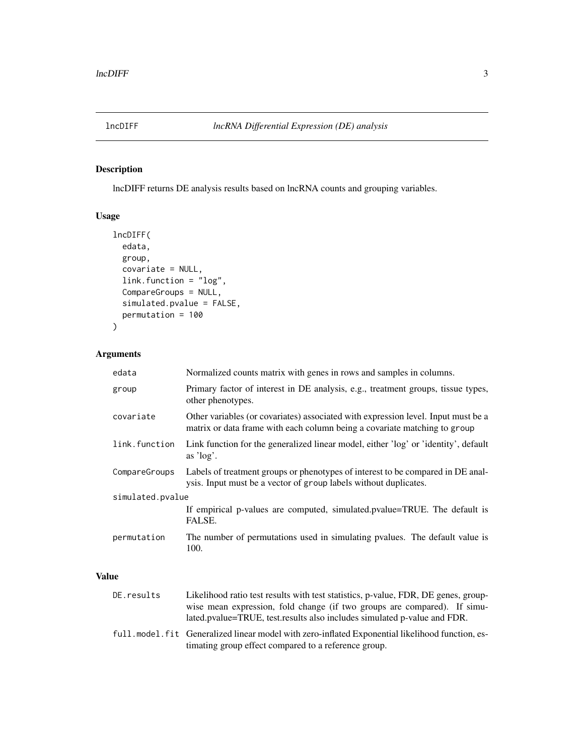<span id="page-2-0"></span>

# Description

lncDIFF returns DE analysis results based on lncRNA counts and grouping variables.

# Usage

```
lncDIFF(
 edata,
 group,
 covariate = NULL,
 link.function = "log",
 CompareGroups = NULL,
 simulated.pvalue = FALSE,
 permutation = 100
\mathcal{L}
```
# Arguments

| edata            | Normalized counts matrix with genes in rows and samples in columns.                                                                                            |  |  |  |  |  |
|------------------|----------------------------------------------------------------------------------------------------------------------------------------------------------------|--|--|--|--|--|
| group            | Primary factor of interest in DE analysis, e.g., treatment groups, tissue types,<br>other phenotypes.                                                          |  |  |  |  |  |
| covariate        | Other variables (or covariates) associated with expression level. Input must be a<br>matrix or data frame with each column being a covariate matching to group |  |  |  |  |  |
| link.function    | Link function for the generalized linear model, either 'log' or 'identity', default<br>as $\log$ .                                                             |  |  |  |  |  |
| CompareGroups    | Labels of treatment groups or phenotypes of interest to be compared in DE anal-<br>ysis. Input must be a vector of group labels without duplicates.            |  |  |  |  |  |
| simulated.pvalue |                                                                                                                                                                |  |  |  |  |  |
|                  | If empirical p-values are computed, simulated.pvalue=TRUE. The default is<br>FALSE.                                                                            |  |  |  |  |  |
| permutation      | The number of permutations used in simulating pvalues. The default value is<br>100.                                                                            |  |  |  |  |  |

#### Value

| DE.results | Likelihood ratio test results with test statistics, p-value, FDR, DE genes, group-                                                                        |
|------------|-----------------------------------------------------------------------------------------------------------------------------------------------------------|
|            | wise mean expression, fold change (if two groups are compared). If simu-                                                                                  |
|            | lated.pvalue=TRUE, test.results also includes simulated p-value and FDR.                                                                                  |
|            | full, model, fit Generalized linear model with zero-inflated Exponential likelihood function, es-<br>timating group effect compared to a reference group. |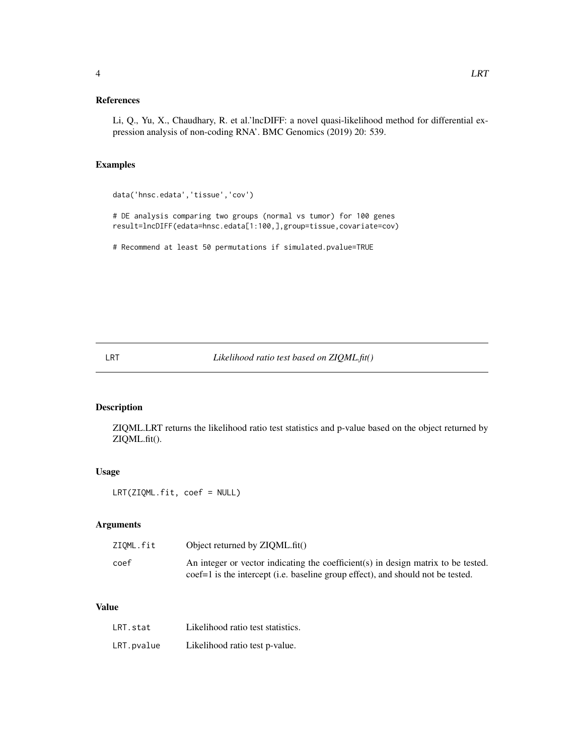# <span id="page-3-0"></span>References

Li, Q., Yu, X., Chaudhary, R. et al.'lncDIFF: a novel quasi-likelihood method for differential expression analysis of non-coding RNA'. BMC Genomics (2019) 20: 539.

# Examples

```
data('hnsc.edata','tissue','cov')
# DE analysis comparing two groups (normal vs tumor) for 100 genes
result=lncDIFF(edata=hnsc.edata[1:100,],group=tissue,covariate=cov)
# Recommend at least 50 permutations if simulated.pvalue=TRUE
```
# LRT *Likelihood ratio test based on ZIQML.fit()*

#### Description

ZIQML.LRT returns the likelihood ratio test statistics and p-value based on the object returned by ZIQML.fit().

# Usage

LRT(ZIQML.fit, coef = NULL)

#### Arguments

| ZIOML.fit | Object returned by ZIQML.fit()                                                    |
|-----------|-----------------------------------------------------------------------------------|
| coef      | An integer or vector indicating the coefficient(s) in design matrix to be tested. |
|           | coef=1 is the intercept (i.e. baseline group effect), and should not be tested.   |

#### Value

| LRT.stat   | Likelihood ratio test statistics. |
|------------|-----------------------------------|
| LRT.pvalue | Likelihood ratio test p-value.    |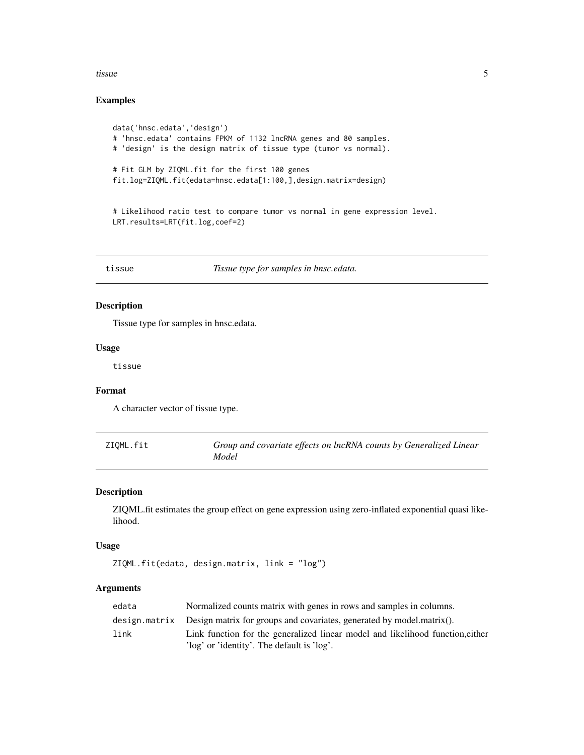#### <span id="page-4-0"></span>tissue 5

# Examples

```
data('hnsc.edata','design')
# 'hnsc.edata' contains FPKM of 1132 lncRNA genes and 80 samples.
# 'design' is the design matrix of tissue type (tumor vs normal).
# Fit GLM by ZIQML.fit for the first 100 genes
fit.log=ZIQML.fit(edata=hnsc.edata[1:100,],design.matrix=design)
# Likelihood ratio test to compare tumor vs normal in gene expression level.
```

```
LRT.results=LRT(fit.log,coef=2)
```
tissue *Tissue type for samples in hnsc.edata.*

# Description

Tissue type for samples in hnsc.edata.

#### Usage

tissue

### Format

A character vector of tissue type.

| ZIOML.fit | Group and covariate effects on lncRNA counts by Generalized Linear |
|-----------|--------------------------------------------------------------------|
|           | Model                                                              |

# Description

ZIQML.fit estimates the group effect on gene expression using zero-inflated exponential quasi likelihood.

#### Usage

ZIQML.fit(edata, design.matrix, link = "log")

# Arguments

| edata | Normalized counts matrix with genes in rows and samples in columns.                  |
|-------|--------------------------------------------------------------------------------------|
|       | design. matrix Design matrix for groups and covariates, generated by model.matrix(). |
| link  | Link function for the generalized linear model and likelihood function, either       |
|       | 'log' or 'identity'. The default is 'log'.                                           |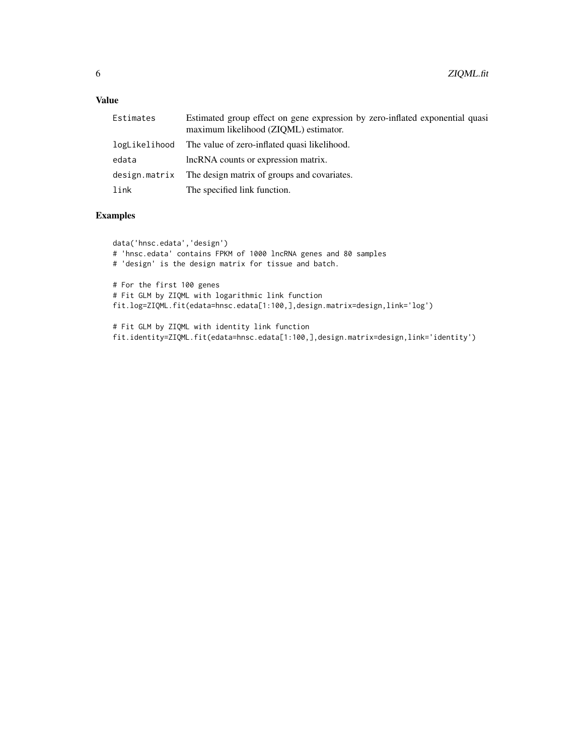# Value

| Estimates     | Estimated group effect on gene expression by zero-inflated exponential quasi<br>maximum likelihood (ZIQML) estimator. |
|---------------|-----------------------------------------------------------------------------------------------------------------------|
| logLikelihood | The value of zero-inflated quasi likelihood.                                                                          |
| edata         | lncRNA counts or expression matrix.                                                                                   |
|               | design.matrix The design matrix of groups and covariates.                                                             |
| link          | The specified link function.                                                                                          |

# Examples

data('hnsc.edata','design') # 'hnsc.edata' contains FPKM of 1000 lncRNA genes and 80 samples # 'design' is the design matrix for tissue and batch. # For the first 100 genes # Fit GLM by ZIQML with logarithmic link function fit.log=ZIQML.fit(edata=hnsc.edata[1:100,],design.matrix=design,link='log')

# Fit GLM by ZIQML with identity link function fit.identity=ZIQML.fit(edata=hnsc.edata[1:100,],design.matrix=design,link='identity')